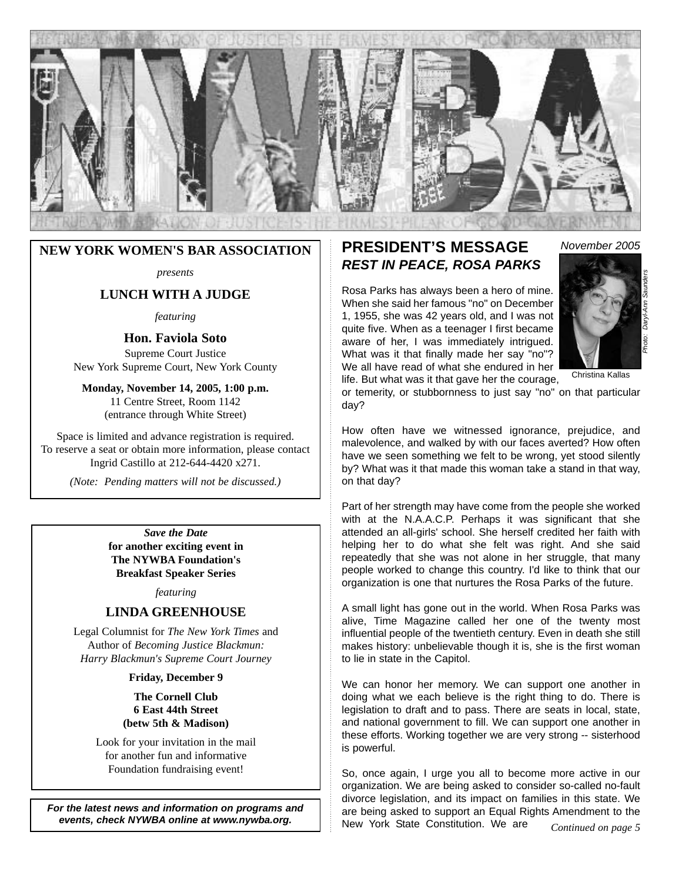

### **NEW YORK WOMEN'S BAR ASSOCIATION**

*presents*

### **LUNCH WITH A JUDGE**

*featuring*

### **Hon. Faviola Soto**

Supreme Court Justice New York Supreme Court, New York County

**Monday, November 14, 2005, 1:00 p.m.** 11 Centre Street, Room 1142 (entrance through White Street)

Space is limited and advance registration is required. To reserve a seat or obtain more information, please contact Ingrid Castillo at 212-644-4420 x271.

*(Note: Pending matters will not be discussed.)*

*Save the Date* **for another exciting event in The NYWBA Foundation's Breakfast Speaker Series**

*featuring*

### **LINDA GREENHOUSE**

Legal Columnist for *The New York Times* and Author of *Becoming Justice Blackmun: Harry Blackmun's Supreme Court Journey*

#### **Friday, December 9**

**The Cornell Club 6 East 44th Street (betw 5th & Madison)**

Look for your invitation in the mail for another fun and informative Foundation fundraising event!

*For the latest news and information on programs and events, check NYWBA online at www.nywba.org.*

### **PRESIDENT'S MESSAGE** *November 2005 REST IN PEACE, ROSA PARKS*

Rosa Parks has always been a hero of mine. When she said her famous "no" on December 1, 1955, she was 42 years old, and I was not quite five. When as a teenager I first became aware of her, I was immediately intrigued. What was it that finally made her say "no"? We all have read of what she endured in her life. But what was it that gave her the courage,



Christina Kallas

or temerity, or stubbornness to just say "no" on that particular day?

How often have we witnessed ignorance, prejudice, and malevolence, and walked by with our faces averted? How often have we seen something we felt to be wrong, yet stood silently by? What was it that made this woman take a stand in that way, on that day?

Part of her strength may have come from the people she worked with at the N.A.A.C.P. Perhaps it was significant that she attended an all-girls' school. She herself credited her faith with helping her to do what she felt was right. And she said repeatedly that she was not alone in her struggle, that many people worked to change this country. I'd like to think that our organization is one that nurtures the Rosa Parks of the future.

A small light has gone out in the world. When Rosa Parks was alive, Time Magazine called her one of the twenty most influential people of the twentieth century. Even in death she still makes history: unbelievable though it is, she is the first woman to lie in state in the Capitol.

We can honor her memory. We can support one another in doing what we each believe is the right thing to do. There is legislation to draft and to pass. There are seats in local, state, and national government to fill. We can support one another in these efforts. Working together we are very strong -- sisterhood is powerful.

So, once again, I urge you all to become more active in our organization. We are being asked to consider so-called no-fault divorce legislation, and its impact on families in this state. We are being asked to support an Equal Rights Amendment to the New York State Constitution. We are *Continued on page 5*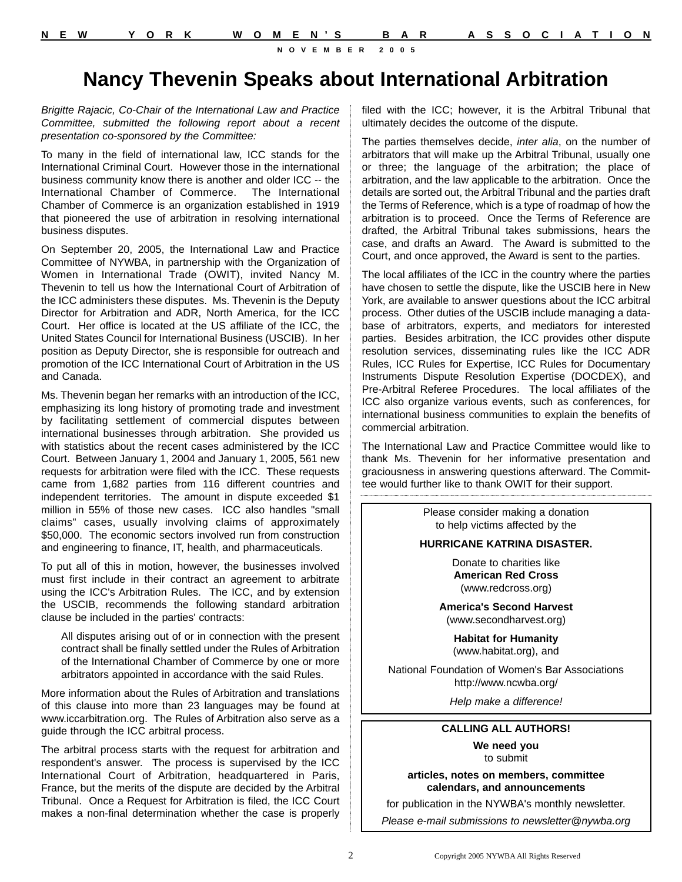# **Nancy Thevenin Speaks about International Arbitration**

*Brigitte Rajacic, Co-Chair of the International Law and Practice Committee, submitted the following report about a recent presentation co-sponsored by the Committee:*

To many in the field of international law, ICC stands for the International Criminal Court. However those in the international business community know there is another and older ICC -- the International Chamber of Commerce. The International Chamber of Commerce is an organization established in 1919 that pioneered the use of arbitration in resolving international business disputes.

On September 20, 2005, the International Law and Practice Committee of NYWBA, in partnership with the Organization of Women in International Trade (OWIT), invited Nancy M. Thevenin to tell us how the International Court of Arbitration of the ICC administers these disputes. Ms. Thevenin is the Deputy Director for Arbitration and ADR, North America, for the ICC Court. Her office is located at the US affiliate of the ICC, the United States Council for International Business (USCIB). In her position as Deputy Director, she is responsible for outreach and promotion of the ICC International Court of Arbitration in the US and Canada.

Ms. Thevenin began her remarks with an introduction of the ICC, emphasizing its long history of promoting trade and investment by facilitating settlement of commercial disputes between international businesses through arbitration. She provided us with statistics about the recent cases administered by the ICC Court. Between January 1, 2004 and January 1, 2005, 561 new requests for arbitration were filed with the ICC. These requests came from 1,682 parties from 116 different countries and independent territories. The amount in dispute exceeded \$1 million in 55% of those new cases. ICC also handles "small claims" cases, usually involving claims of approximately \$50,000. The economic sectors involved run from construction and engineering to finance, IT, health, and pharmaceuticals.

To put all of this in motion, however, the businesses involved must first include in their contract an agreement to arbitrate using the ICC's Arbitration Rules. The ICC, and by extension the USCIB, recommends the following standard arbitration clause be included in the parties' contracts:

All disputes arising out of or in connection with the present contract shall be finally settled under the Rules of Arbitration of the International Chamber of Commerce by one or more arbitrators appointed in accordance with the said Rules.

More information about the Rules of Arbitration and translations of this clause into more than 23 languages may be found at www.iccarbitration.org. The Rules of Arbitration also serve as a guide through the ICC arbitral process.

The arbitral process starts with the request for arbitration and respondent's answer. The process is supervised by the ICC International Court of Arbitration, headquartered in Paris, France, but the merits of the dispute are decided by the Arbitral Tribunal. Once a Request for Arbitration is filed, the ICC Court makes a non-final determination whether the case is properly filed with the ICC; however, it is the Arbitral Tribunal that ultimately decides the outcome of the dispute.

The parties themselves decide, *inter alia*, on the number of arbitrators that will make up the Arbitral Tribunal, usually one or three; the language of the arbitration; the place of arbitration, and the law applicable to the arbitration. Once the details are sorted out, the Arbitral Tribunal and the parties draft the Terms of Reference, which is a type of roadmap of how the arbitration is to proceed. Once the Terms of Reference are drafted, the Arbitral Tribunal takes submissions, hears the case, and drafts an Award. The Award is submitted to the Court, and once approved, the Award is sent to the parties.

The local affiliates of the ICC in the country where the parties have chosen to settle the dispute, like the USCIB here in New York, are available to answer questions about the ICC arbitral process. Other duties of the USCIB include managing a database of arbitrators, experts, and mediators for interested parties. Besides arbitration, the ICC provides other dispute resolution services, disseminating rules like the ICC ADR Rules, ICC Rules for Expertise, ICC Rules for Documentary Instruments Dispute Resolution Expertise (DOCDEX), and Pre-Arbitral Referee Procedures. The local affiliates of the ICC also organize various events, such as conferences, for international business communities to explain the benefits of commercial arbitration.

The International Law and Practice Committee would like to thank Ms. Thevenin for her informative presentation and graciousness in answering questions afterward. The Committee would further like to thank OWIT for their support.

> Please consider making a donation to help victims affected by the

#### **HURRICANE KATRINA DISASTER.**

Donate to charities like **American Red Cross**  (www.redcross.org)

**America's Second Harvest** (www.secondharvest.org)

**Habitat for Humanity** (www.habitat.org), and

National Foundation of Women's Bar Associations http://www.ncwba.org/

*Help make a difference!*

### **CALLING ALL AUTHORS!**

**We need you**  to submit

**articles, notes on members, committee calendars, and announcements**

for publication in the NYWBA's monthly newsletter.

*Please e-mail submissions to newsletter@nywba.org*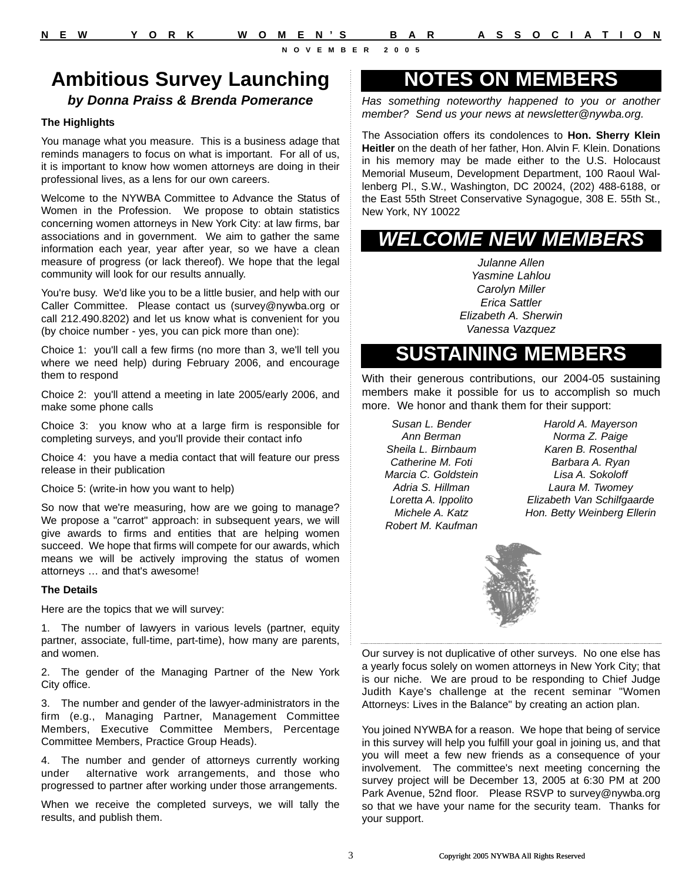## **Ambitious Survey Launching**

### *by Donna Praiss & Brenda Pomerance*

#### **The Highlights**

You manage what you measure. This is a business adage that reminds managers to focus on what is important. For all of us, it is important to know how women attorneys are doing in their professional lives, as a lens for our own careers.

Welcome to the NYWBA Committee to Advance the Status of Women in the Profession. We propose to obtain statistics concerning women attorneys in New York City: at law firms, bar associations and in government. We aim to gather the same information each year, year after year, so we have a clean measure of progress (or lack thereof). We hope that the legal community will look for our results annually.

You're busy. We'd like you to be a little busier, and help with our Caller Committee. Please contact us (survey@nywba.org or call 212.490.8202) and let us know what is convenient for you (by choice number - yes, you can pick more than one):

Choice 1: you'll call a few firms (no more than 3, we'll tell you where we need help) during February 2006, and encourage them to respond

Choice 2: you'll attend a meeting in late 2005/early 2006, and make some phone calls

Choice 3: you know who at a large firm is responsible for completing surveys, and you'll provide their contact info

Choice 4: you have a media contact that will feature our press release in their publication

Choice 5: (write-in how you want to help)

So now that we're measuring, how are we going to manage? We propose a "carrot" approach: in subsequent years, we will give awards to firms and entities that are helping women succeed. We hope that firms will compete for our awards, which means we will be actively improving the status of women attorneys … and that's awesome!

#### **The Details**

Here are the topics that we will survey:

1. The number of lawyers in various levels (partner, equity partner, associate, full-time, part-time), how many are parents, and women.

2. The gender of the Managing Partner of the New York City office.

3. The number and gender of the lawyer-administrators in the firm (e.g., Managing Partner, Management Committee Members, Executive Committee Members, Percentage Committee Members, Practice Group Heads).

4. The number and gender of attorneys currently working under alternative work arrangements, and those who progressed to partner after working under those arrangements.

When we receive the completed surveys, we will tally the results, and publish them.

## **NOTES ON MEMBERS**

*Has something noteworthy happened to you or another member? Send us your news at newsletter@nywba.org.*

The Association offers its condolences to **Hon. Sherry Klein Heitler** on the death of her father, Hon. Alvin F. Klein. Donations in his memory may be made either to the U.S. Holocaust Memorial Museum, Development Department, 100 Raoul Wallenberg Pl., S.W., Washington, DC 20024, (202) 488-6188, or the East 55th Street Conservative Synagogue, 308 E. 55th St., New York, NY 10022

## *WELCOME NEW MEMBERS*

*Julanne Allen Yasmine Lahlou Carolyn Miller Erica Sattler Elizabeth A. Sherwin Vanessa Vazquez*

## **SUSTAINING MEMBERS**

With their generous contributions, our 2004-05 sustaining members make it possible for us to accomplish so much more. We honor and thank them for their support:

*Susan L. Bender Ann Berman Sheila L. Birnbaum Catherine M. Foti Marcia C. Goldstein Adria S. Hillman Loretta A. Ippolito Michele A. Katz Robert M. Kaufman*

*Harold A. Mayerson Norma Z. Paige Karen B. Rosenthal Barbara A. Ryan Lisa A. Sokoloff Laura M. Twomey Elizabeth Van Schilfgaarde Hon. Betty Weinberg Ellerin*



Our survey is not duplicative of other surveys. No one else has a yearly focus solely on women attorneys in New York City; that is our niche. We are proud to be responding to Chief Judge Judith Kaye's challenge at the recent seminar "Women Attorneys: Lives in the Balance" by creating an action plan.

You joined NYWBA for a reason. We hope that being of service in this survey will help you fulfill your goal in joining us, and that you will meet a few new friends as a consequence of your involvement. The committee's next meeting concerning the survey project will be December 13, 2005 at 6:30 PM at 200 Park Avenue, 52nd floor. Please RSVP to survey@nywba.org so that we have your name for the security team. Thanks for your support.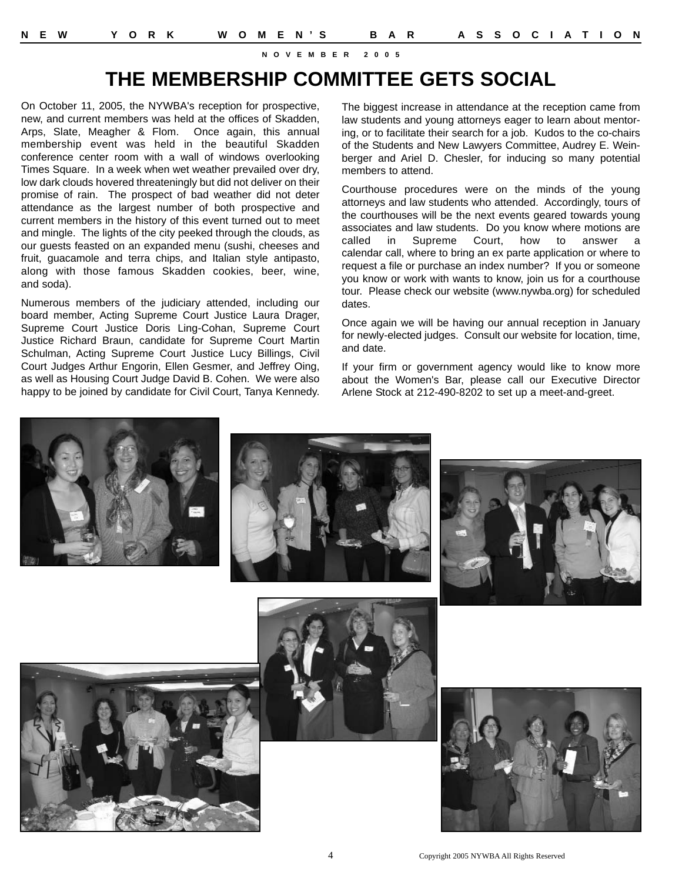## **THE MEMBERSHIP COMMITTEE GETS SOCIAL**

On October 11, 2005, the NYWBA's reception for prospective, new, and current members was held at the offices of Skadden, Arps, Slate, Meagher & Flom. Once again, this annual membership event was held in the beautiful Skadden conference center room with a wall of windows overlooking Times Square. In a week when wet weather prevailed over dry, low dark clouds hovered threateningly but did not deliver on their promise of rain. The prospect of bad weather did not deter attendance as the largest number of both prospective and current members in the history of this event turned out to meet and mingle. The lights of the city peeked through the clouds, as our guests feasted on an expanded menu (sushi, cheeses and fruit, guacamole and terra chips, and Italian style antipasto, along with those famous Skadden cookies, beer, wine, and soda).

Numerous members of the judiciary attended, including our board member, Acting Supreme Court Justice Laura Drager, Supreme Court Justice Doris Ling-Cohan, Supreme Court Justice Richard Braun, candidate for Supreme Court Martin Schulman, Acting Supreme Court Justice Lucy Billings, Civil Court Judges Arthur Engorin, Ellen Gesmer, and Jeffrey Oing, as well as Housing Court Judge David B. Cohen. We were also happy to be joined by candidate for Civil Court, Tanya Kennedy. The biggest increase in attendance at the reception came from law students and young attorneys eager to learn about mentoring, or to facilitate their search for a job. Kudos to the co-chairs of the Students and New Lawyers Committee, Audrey E. Weinberger and Ariel D. Chesler, for inducing so many potential members to attend.

Courthouse procedures were on the minds of the young attorneys and law students who attended. Accordingly, tours of the courthouses will be the next events geared towards young associates and law students. Do you know where motions are called in Supreme Court, how to answer a calendar call, where to bring an ex parte application or where to request a file or purchase an index number? If you or someone you know or work with wants to know, join us for a courthouse tour. Please check our website (www.nywba.org) for scheduled dates.

Once again we will be having our annual reception in January for newly-elected judges. Consult our website for location, time, and date.

If your firm or government agency would like to know more about the Women's Bar, please call our Executive Director Arlene Stock at 212-490-8202 to set up a meet-and-greet.



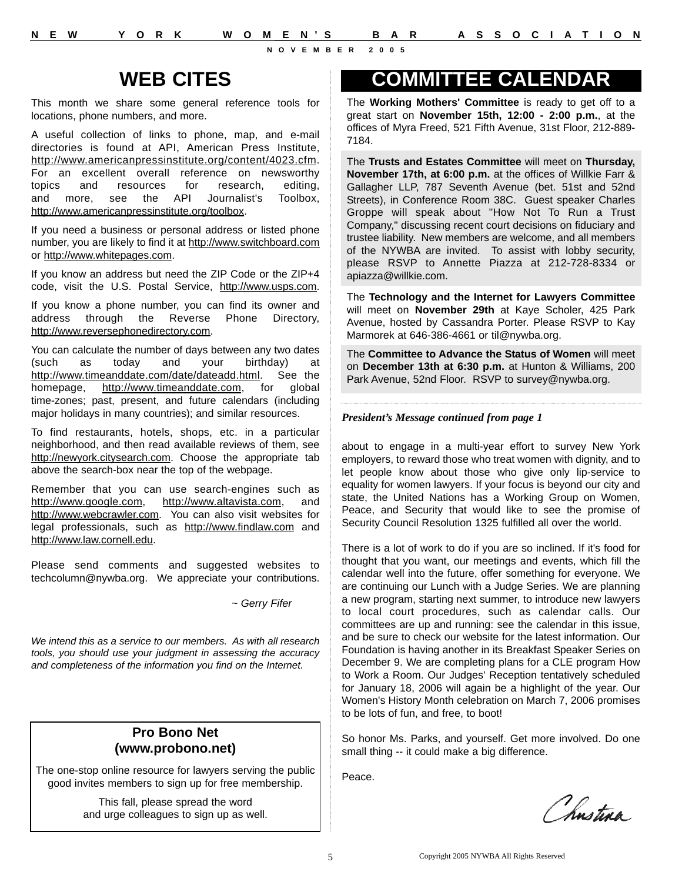**N E W Y O R K W O M E N'S B A R A S S O C I A T I O N**

**NOVEMBER 2005**

# **WEB CITES**

This month we share some general reference tools for locations, phone numbers, and more.

A useful collection of links to phone, map, and e-mail directories is found at API, American Press Institute, http://www.americanpressinstitute.org/content/4023.cfm. For an excellent overall reference on newsworthy topics and resources for research, editing, and more, see the API Journalist's Toolbox, http://www.americanpressinstitute.org/toolbox.

If you need a business or personal address or listed phone number, you are likely to find it at http://www.switchboard.com or http://www.whitepages.com.

If you know an address but need the ZIP Code or the ZIP+4 code, visit the U.S. Postal Service, http://www.usps.com.

If you know a phone number, you can find its owner and address through the Reverse Phone Directory, http://www.reversephonedirectory.com.

You can calculate the number of days between any two dates (such as today and your birthday) at http://www.timeanddate.com/date/dateadd.html. See the homepage, http://www.timeanddate.com, for global time-zones; past, present, and future calendars (including major holidays in many countries); and similar resources.

To find restaurants, hotels, shops, etc. in a particular neighborhood, and then read available reviews of them, see http://newyork.citysearch.com. Choose the appropriate tab above the search-box near the top of the webpage.

Remember that you can use search-engines such as http://www.google.com, http://www.altavista.com, and http://www.webcrawler.com. You can also visit websites for legal professionals, such as http://www.findlaw.com and http://www.law.cornell.edu.

Please send comments and suggested websites to techcolumn@nywba.org. We appreciate your contributions.

*~ Gerry Fifer* 

*We intend this as a service to our members. As with all research tools, you should use your judgment in assessing the accuracy and completeness of the information you find on the Internet.*

### **Pro Bono Net (www.probono.net)**

The one-stop online resource for lawyers serving the public good invites members to sign up for free membership.

> This fall, please spread the word and urge colleagues to sign up as well.

## **COMMITTEE CALENDAR**

The **Working Mothers' Committee** is ready to get off to a great start on **November 15th, 12:00 - 2:00 p.m.**, at the offices of Myra Freed, 521 Fifth Avenue, 31st Floor, 212-889- 7184.

The **Trusts and Estates Committee** will meet on **Thursday, November 17th, at 6:00 p.m.** at the offices of Willkie Farr & Gallagher LLP, 787 Seventh Avenue (bet. 51st and 52nd Streets), in Conference Room 38C. Guest speaker Charles Groppe will speak about "How Not To Run a Trust Company," discussing recent court decisions on fiduciary and trustee liability. New members are welcome, and all members of the NYWBA are invited. To assist with lobby security, please RSVP to Annette Piazza at 212-728-8334 or apiazza@willkie.com.

The **Technology and the Internet for Lawyers Committee** will meet on **November 29th** at Kaye Scholer, 425 Park Avenue, hosted by Cassandra Porter. Please RSVP to Kay Marmorek at 646-386-4661 or til@nywba.org.

The **Committee to Advance the Status of Women** will meet on **December 13th at 6:30 p.m.** at Hunton & Williams, 200 Park Avenue, 52nd Floor. RSVP to survey@nywba.org.

### *President's Message continued from page 1*

about to engage in a multi-year effort to survey New York employers, to reward those who treat women with dignity, and to let people know about those who give only lip-service to equality for women lawyers. If your focus is beyond our city and state, the United Nations has a Working Group on Women, Peace, and Security that would like to see the promise of Security Council Resolution 1325 fulfilled all over the world.

There is a lot of work to do if you are so inclined. If it's food for thought that you want, our meetings and events, which fill the calendar well into the future, offer something for everyone. We are continuing our Lunch with a Judge Series. We are planning a new program, starting next summer, to introduce new lawyers to local court procedures, such as calendar calls. Our committees are up and running: see the calendar in this issue, and be sure to check our website for the latest information. Our Foundation is having another in its Breakfast Speaker Series on December 9. We are completing plans for a CLE program How to Work a Room. Our Judges' Reception tentatively scheduled for January 18, 2006 will again be a highlight of the year. Our Women's History Month celebration on March 7, 2006 promises to be lots of fun, and free, to boot!

So honor Ms. Parks, and yourself. Get more involved. Do one small thing -- it could make a big difference.

Peace.

Chnstina